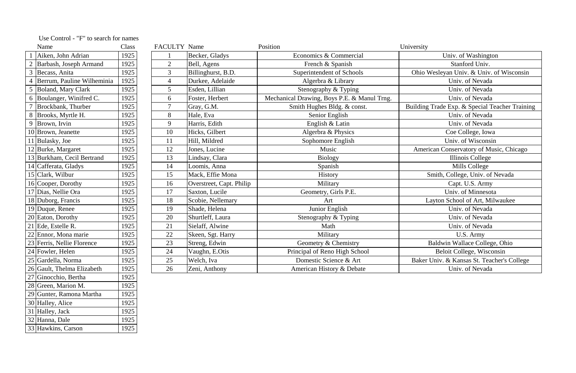| Name |                              | Class | <b>FACULTY Name</b> |                          | Position                                    | University                                     |
|------|------------------------------|-------|---------------------|--------------------------|---------------------------------------------|------------------------------------------------|
|      | Aiken, John Adrian           | 1925  |                     | Becker, Gladys           | Economics & Commercial                      | Univ. of Washington                            |
|      | Barbash, Joseph Armand       | 1925  | $\overline{2}$      | Bell, Agens              | French & Spanish                            | Stanford Univ.                                 |
|      | Becass, Anita                | 1925  | $\overline{3}$      | Billinghurst, B.D.       | Superintendent of Schools                   | Ohio Wesleyan Univ. & Univ. of Wisconsin       |
|      | 4 Berrum, Pauline Wilheminia | 1925  | $\overline{4}$      | Durkee, Adelaide         | Algerbra & Library                          | Univ. of Nevada                                |
|      | 5 Boland, Mary Clark         | 1925  | 5 <sup>5</sup>      | Esden, Lillian           | Stenography & Typing                        | Univ. of Nevada                                |
|      | 6  Boulanger, Winifred C.    | 1925  | 6                   | Foster, Herbert          | Mechanical Drawing, Boys P.E. & Manul Trng. | Univ. of Nevada                                |
|      | Brockbank, Thurber           | 1925  | $\overline{7}$      | Gray, G.M.               | Smith Hughes Bldg. & const.                 | Building Trade Exp. & Special Teacher Training |
|      | 8 Brooks, Myrtle H.          | 1925  | 8                   | Hale, Eva                | Senior English                              | Univ. of Nevada                                |
|      | $9$ Brown, Irvin             | 1925  | 9                   | Harris, Edith            | English & Latin                             | Univ. of Nevada                                |
|      | 10 Brown, Jeanette           | 1925  | 10                  | Hicks, Gilbert           | Algerbra & Physics                          | Coe College, Iowa                              |
|      | 11 Bulasky, Joe              | 1925  | 11                  | Hill, Mildred            | Sophomore English                           | Univ. of Wisconsin                             |
|      | 12 Burke, Margaret           | 1925  | 12                  | Jones, Lucine            | Music                                       | American Conservatory of Music, Chicago        |
|      | 13 Burkham, Cecil Bertrand   | 1925  | 13                  | Lindsay, Clara           | <b>Biology</b>                              | Illinois College                               |
|      | 14 Cafferata, Gladys         | 1925  | 14                  | Loomis, Anna             | Spanish                                     | Mills College                                  |
|      | 15 Clark, Wilbur             | 1925  | 15                  | Mack, Effie Mona         | History                                     | Smith, College, Univ. of Nevada                |
|      | 16 Cooper, Dorothy           | 1925  | 16                  | Overstreet, Capt. Philip | Military                                    | Capt. U.S. Army                                |
|      | 17 Dias, Nellie Ora          | 1925  | 17                  | Saxton, Lucile           | Geometry, Girls P.E.                        | Univ. of Minnesota                             |
|      | 18 Duborg, Francis           | 1925  | 18                  | Scobie, Nellemary        | Art                                         | Layton School of Art, Milwaukee                |
|      | 19 Duque, Renee              | 1925  | 19                  | Shade, Helena            | Junior English                              | Univ. of Nevada                                |
|      | 20 Eaton, Dorothy            | 1925  | 20                  | Shurtleff, Laura         | Stenography & Typing                        | Univ. of Nevada                                |
|      | 21 Ede, Estelle R.           | 1925  | 21                  | Sielaff, Alwine          | Math                                        | Univ. of Nevada                                |
|      | 22 Ennor, Mona marie         | 1925  | 22                  | Skeen, Sgt. Harry        | Military                                    | U.S. Army                                      |
|      | 23 Ferris, Nellie Florence   | 1925  | 23                  | Streng, Edwin            | Geometry & Chemistry                        | Baldwin Wallace College, Ohio                  |
|      | 24 Fowler, Helen             | 1925  | 24                  | Vaughn, E.Otis           | Principal of Reno High School               | Beloit College, Wisconsin                      |
|      | 25 Gardella, Norma           | 1925  | 25                  | Welch, Iva               | Domestic Science & Art                      | Baker Univ. & Kansas St. Teacher's College     |
|      | 26 Gault, Thelma Elizabeth   | 1925  | 26                  | Zeni, Anthony            | American History & Debate                   | Univ. of Nevada                                |
|      |                              |       |                     |                          |                                             |                                                |

|              | I |  |
|--------------|---|--|
|              |   |  |
| ٦<br>۰.<br>ł | I |  |

|                | Name                         | Class |
|----------------|------------------------------|-------|
| $\mathbf{1}$   | Aiken, John Adrian           | 1925  |
| $\overline{c}$ | Barbash, Joseph Armand       | 1925  |
| 3              | Becass, Anita                | 1925  |
| $\overline{4}$ | Berrum, Pauline Wilheminia   | 1925  |
| 5              | <b>Boland, Mary Clark</b>    | 1925  |
| 6              | Boulanger, Winifred C.       | 1925  |
| 7              | Brockbank, Thurber           | 1925  |
| 8              | Brooks, Myrtle H.            | 1925  |
| 9              | Brown, Irvin                 | 1925  |
|                | 10 Brown, Jeanette           | 1925  |
| 11             | Bulasky, Joe                 | 1925  |
|                | 12 Burke, Margaret           | 1925  |
|                | 13 Burkham, Cecil Bertrand   | 1925  |
|                | 14 Cafferata, Gladys         | 1925  |
|                | 15 Clark, Wilbur             | 1925  |
|                | 16 Cooper, Dorothy           | 1925  |
|                | 17 Dias, Nellie Ora          | 1925  |
|                | 18 Duborg, Francis           | 1925  |
|                | 19 Duque, Renee              | 1925  |
|                | 20 Eaton, Dorothy            | 1925  |
|                | 21 Ede, Estelle R.           | 1925  |
|                | 22 Ennor, Mona marie         | 1925  |
|                | 23   Ferris, Nellie Florence | 1925  |
|                | 24 Fowler, Helen             | 1925  |
| 25             | Gardella, Norma              | 1925  |
| 26             | Gault, Thelma Elizabeth      | 1925  |
| 27             | Ginocchio, Bertha            | 1925  |
| 28             | Green, Marion M.             | 1925  |
| 29             | Gunter, Ramona Martha        | 1925  |
| 30             | Halley, Alice                | 1925  |
| 31             | Halley, Jack                 | 1925  |
| 32             | Hanna, Dale                  | 1925  |
| 33             | Hawkins, Carson              | 1925  |

| Use Control - "F" to search for names |  |  |  |  |  |
|---------------------------------------|--|--|--|--|--|
|---------------------------------------|--|--|--|--|--|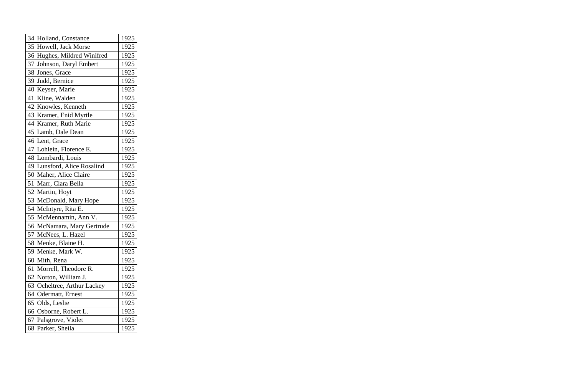|    | 34 Holland, Constance       | 1925 |
|----|-----------------------------|------|
|    | 35 Howell, Jack Morse       | 1925 |
|    | 36 Hughes, Mildred Winifred | 1925 |
| 37 | Johnson, Daryl Embert       | 1925 |
|    | 38 Jones, Grace             | 1925 |
|    | 39 Judd, Bernice            | 1925 |
|    | 40 Keyser, Marie            | 1925 |
| 41 | Kline, Walden               | 1925 |
|    | 42 Knowles, Kenneth         | 1925 |
|    | 43 Kramer, Enid Myrtle      | 1925 |
|    | 44 Kramer, Ruth Marie       | 1925 |
|    | 45 Lamb, Dale Dean          | 1925 |
|    | 46 Lent, Grace              | 1925 |
|    | 47 Lohlein, Florence E.     | 1925 |
|    | 48 Lombardi, Louis          | 1925 |
|    | 49 Lunsford, Alice Rosalind | 1925 |
|    | 50 Maher, Alice Claire      | 1925 |
|    | 51   Marr, Clara Bella      | 1925 |
|    | 52 Martin, Hoyt             | 1925 |
|    | 53 McDonald, Mary Hope      | 1925 |
|    | 54 McIntyre, Rita E.        | 1925 |
|    | 55 McMennamin, Ann V.       | 1925 |
|    | 56 McNamara, Mary Gertrude  | 1925 |
|    | 57 McNees, L. Hazel         | 1925 |
|    | 58 Menke, Blaine H.         | 1925 |
| 59 | Menke, Mark W.              | 1925 |
|    | 60 Mith, Rena               | 1925 |
| 61 | Morrell, Theodore R.        | 1925 |
| 62 | Norton, William J.          | 1925 |
| 63 | Ocheltree, Arthur Lackey    | 1925 |
| 64 | Odermatt, Ernest            | 1925 |
|    | 65 Olds, Leslie             | 1925 |
|    | 66 Osborne, Robert L.       | 1925 |
|    | 67 Palsgrove, Violet        | 1925 |
| 68 | Parker, Sheila              | 1925 |